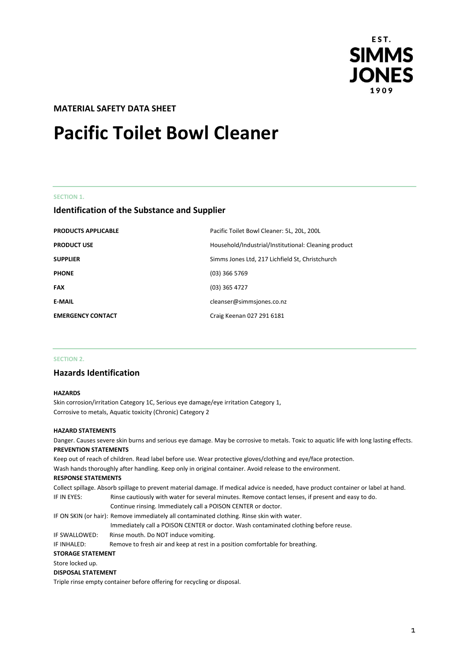

# **MATERIAL SAFETY DATA SHEET**

# **Pacific Toilet Bowl Cleaner**

#### **SECTION 1.**

# **Identification of the Substance and Supplier**

| <b>PRODUCTS APPLICABLE</b> | Pacific Toilet Bowl Cleaner: 5L, 20L, 200L           |
|----------------------------|------------------------------------------------------|
| <b>PRODUCT USE</b>         | Household/Industrial/Institutional: Cleaning product |
| <b>SUPPLIER</b>            | Simms Jones Ltd, 217 Lichfield St, Christchurch      |
| <b>PHONE</b>               | $(03)$ 366 5769                                      |
| <b>FAX</b>                 | $(03)$ 365 4727                                      |
| <b>E-MAIL</b>              | cleanser@simmsjones.co.nz                            |
| <b>EMERGENCY CONTACT</b>   | Craig Keenan 027 291 6181                            |

#### **SECTION 2.**

# **Hazards Identification**

#### **HAZARDS**

Skin corrosion/irritation Category 1C, Serious eye damage/eye irritation Category 1, Corrosive to metals, Aquatic toxicity (Chronic) Category 2

#### **HAZARD STATEMENTS**

Danger. Causes severe skin burns and serious eye damage. May be corrosive to metals. Toxic to aquatic life with long lasting effects. **PREVENTION STATEMENTS**

Keep out of reach of children. Read label before use. Wear protective gloves/clothing and eye/face protection. Wash hands thoroughly after handling. Keep only in original container. Avoid release to the environment. **RESPONSE STATEMENTS** Collect spillage. Absorb spillage to prevent material damage. If medical advice is needed, have product container or label at hand. IF IN EYES: Rinse cautiously with water for several minutes. Remove contact lenses, if present and easy to do. Continue rinsing. Immediately call a POISON CENTER or doctor. IF ON SKIN (or hair): Remove immediately all contaminated clothing. Rinse skin with water. Immediately call a POISON CENTER or doctor. Wash contaminated clothing before reuse. IF SWALLOWED: Rinse mouth. Do NOT induce vomiting. IF INHALED: Remove to fresh air and keep at rest in a position comfortable for breathing. **STORAGE STATEMENT** Store locked up. **DISPOSAL STATEMENT** Triple rinse empty container before offering for recycling or disposal.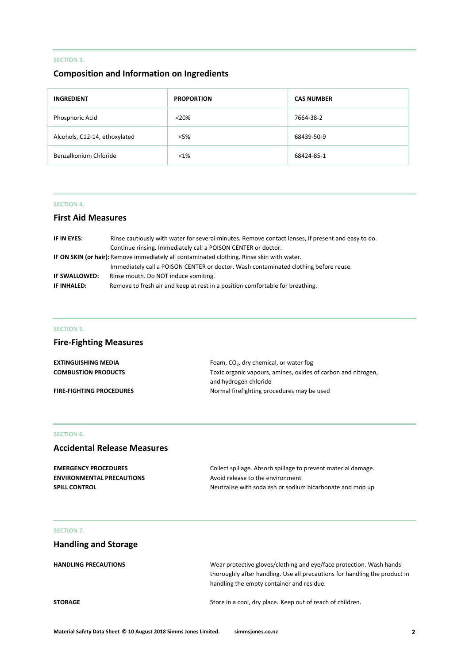# **SECTION 3.**

# **Composition and Information on Ingredients**

| <b>INGREDIENT</b>             | <b>PROPORTION</b> | <b>CAS NUMBER</b> |
|-------------------------------|-------------------|-------------------|
| Phosphoric Acid               | < 20%             | 7664-38-2         |
| Alcohols, C12-14, ethoxylated | $<$ 5%            | 68439-50-9        |
| Benzalkonium Chloride         | $< 1\%$           | 68424-85-1        |

### **SECTION 4.**

# **First Aid Measures**

| IF IN EYES:                                                                                       | Rinse cautiously with water for several minutes. Remove contact lenses, if present and easy to do. |  |
|---------------------------------------------------------------------------------------------------|----------------------------------------------------------------------------------------------------|--|
|                                                                                                   | Continue rinsing. Immediately call a POISON CENTER or doctor.                                      |  |
| <b>IF ON SKIN (or hair):</b> Remove immediately all contaminated clothing. Rinse skin with water. |                                                                                                    |  |
|                                                                                                   | Immediately call a POISON CENTER or doctor. Wash contaminated clothing before reuse.               |  |
| IF SWALLOWED:                                                                                     | Rinse mouth. Do NOT induce vomiting.                                                               |  |
| IF INHALED:                                                                                       | Remove to fresh air and keep at rest in a position comfortable for breathing.                      |  |

#### **SECTION 5.**

# **Fire-Fighting Measures**

| <b>EXTINGUISHING MEDIA</b>      | Foam, $CO2$ , dry chemical, or water fog                      |
|---------------------------------|---------------------------------------------------------------|
| <b>COMBUSTION PRODUCTS</b>      | Toxic organic vapours, amines, oxides of carbon and nitrogen. |
|                                 | and hydrogen chloride                                         |
| <b>FIRE-FIGHTING PROCEDURES</b> | Normal firefighting procedures may be used                    |

# **SECTION 6.**

# **Accidental Release Measures**

| <b>EMERGENCY PROCEDURES</b>      | Collect spillage. Absorb spillage to prevent material damage. |
|----------------------------------|---------------------------------------------------------------|
| <b>ENVIRONMENTAL PRECAUTIONS</b> | Avoid release to the environment                              |
| <b>SPILL CONTROL</b>             | Neutralise with soda ash or sodium bicarbonate and mop up     |

# **SECTION 7.**

# **Handling and Storage**

| <b>HANDLING PRECAUTIONS</b> | Wear protective gloves/clothing and eye/face protection. Wash hands        |  |
|-----------------------------|----------------------------------------------------------------------------|--|
|                             | thoroughly after handling. Use all precautions for handling the product in |  |
|                             | handling the empty container and residue.                                  |  |
| <b>STORAGE</b>              | Store in a cool, dry place. Keep out of reach of children.                 |  |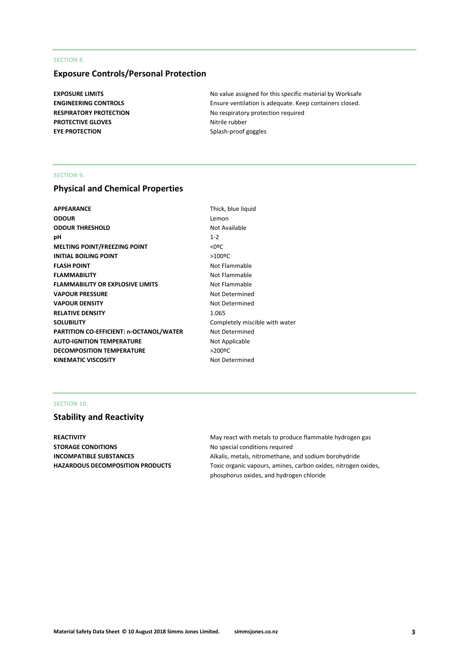#### **SECTION 8.**

# **Exposure Controls/Personal Protection**

**PROTECTIVE GLOVES** Nitrile rubber **EYE PROTECTION** Splash-proof goggles

**EXPOSURE LIMITS EXPOSURE LIMITS No value assigned for this specific material by Worksafe ENGINEERING CONTROLS** Ensure ventilation is adequate. Keep containers closed. **RESPIRATORY PROTECTION** No respiratory protection required

#### **SECTION 9.**

# **Physical and Chemical Properties**

| APPEARANCE                                     | Thick, b             |
|------------------------------------------------|----------------------|
| ODOUR                                          | Lemon                |
| <b>ODOUR THRESHOLD</b>                         | Not Ava              |
| pН                                             | $1 - 2$              |
| <b>MELTING POINT/FREEZING POINT</b>            | $<$ 0 <sup>o</sup> C |
| <b>INITIAL BOILING POINT</b>                   | $>100^{\circ}$ C     |
| FLASH POINT                                    | Not Fla              |
| <b>FLAMMABILITY</b>                            | Not Fla              |
| <b>FLAMMABILITY OR EXPLOSIVE LIMITS</b>        | Not Fla              |
| <b>VAPOUR PRESSURE</b>                         | Not De               |
| <b>VAPOUR DENSITY</b>                          | Not De               |
| <b>RELATIVE DENSITY</b>                        | 1.065                |
| SOLUBILITY                                     | Comple               |
| <b>PARTITION CO-EFFICIENT: n-OCTANOL/WATER</b> | Not De               |
| <b>AUTO-IGNITION TEMPERATURE</b>               | Not Ap               |
| <b>DECOMPOSITION TEMPERATURE</b>               | $>200$ ºC            |
| KINEMATIC VISCOSITY                            | Not De               |

Thick, blue liquid Lemon **Not Available Not Flammable Not Flammable Not Flammable Not Determined Not Determined** Completely miscible with water **Not Determined Not Applicable Not Determined** 

#### **SECTION 10.**

# **Stability and Reactivity**

**STORAGE CONDITIONS** No special conditions required

**REACTIVITY REACTIVITY May react with metals to produce flammable hydrogen gas INCOMPATIBLE SUBSTANCES** Alkalis, metals, nitromethane, and sodium borohydride HAZARDOUS DECOMPOSITION PRODUCTS Toxic organic vapours, amines, carbon oxides, nitrogen oxides, phosphorus oxides, and hydrogen chloride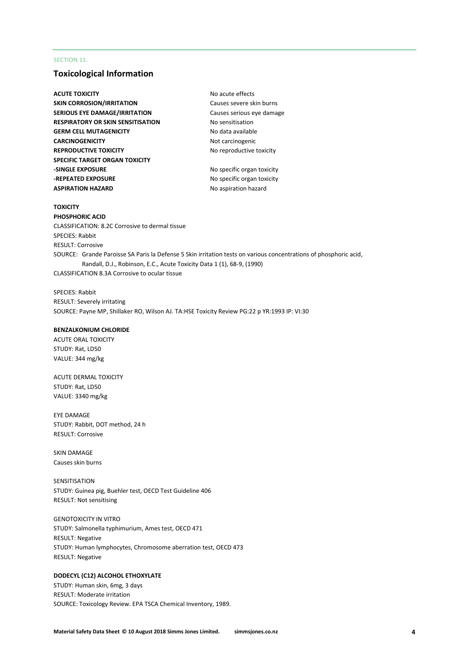#### **SECTION 11.**

### **Toxicological Information**

**ACUTE TOXICITY** ACUTE **TOXICITY** ACUTE **NO** acute effects **SKIN CORROSION/IRRITATION** Causes severe skin burns **SERIOUS EYE DAMAGE/IRRITATION** Causes serious eye damage **RESPIRATORY OR SKIN SENSITISATION** No sensitisation **GERM CELL MUTAGENICITY** No data available **CARCINOGENICITY** Not carcinogenic **REPRODUCTIVE TOXICITY** No reproductive toxicity **SPECIFIC TARGET ORGAN TOXICITY -SINGLE EXPOSURE** No specific organ toxicity **-REPEATED EXPOSURE** No specific organ toxicity **ASPIRATION HAZARD** No aspiration hazard

#### **TOXICITY**

**PHOSPHORIC ACID** CLASSIFICATION: 8.2C Corrosive to dermal tissue SPECIES: Rabbit RESULT: Corrosive SOURCE: Grande Paroisse SA Paris la Defense 5 Skin irritation tests on various concentrations of phosphoric acid, Randall, D.J., Robinson, E.C., Acute Toxicity Data 1 (1), 68-9, (1990) CLASSIFICATION 8.3A Corrosive to ocular tissue

SPECIES: Rabbit RESULT: Severely irritating SOURCE: Payne MP, Shillaker RO, Wilson AJ. TA:HSE Toxicity Review PG:22 p YR:1993 IP: VI:30

#### **BENZALKONIUM CHLORIDE**

ACUTE ORAL TOXICITY STUDY: Rat, LD50 VALUE: 344 mg/kg

ACUTE DERMAL TOXICITY STUDY: Rat, LD50 VALUE: 3340 mg/kg

EYE DAMAGE STUDY: Rabbit, DOT method, 24 h RESULT: Corrosive

SKIN DAMAGE Causes skin burns

SENSITISATION STUDY: Guinea pig, Buehler test, OECD Test Guideline 406 RESULT: Not sensitising

GENOTOXICITY IN VITRO STUDY: Salmonella typhimurium, Ames test, OECD 471 RESULT: Negative STUDY: Human lymphocytes, Chromosome aberration test, OECD 473 RESULT: Negative

#### **DODECYL (C12) ALCOHOL ETHOXYLATE**

STUDY: Human skin, 6mg, 3 days RESULT: Moderate irritation SOURCE: Toxicology Review. EPA TSCA Chemical Inventory, 1989.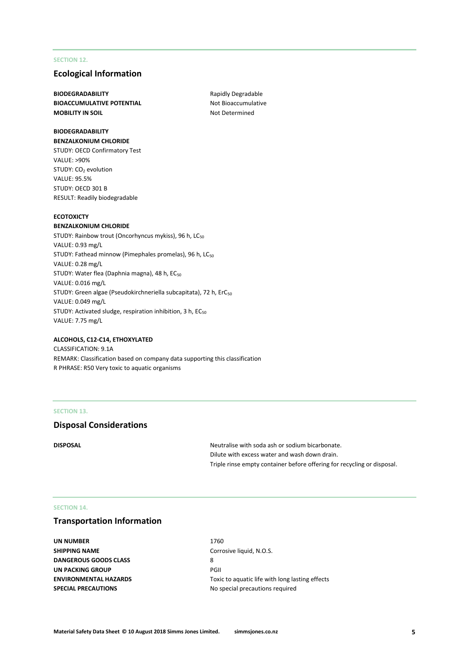#### **SECTION 12.**

### **Ecological Information**

**BIODEGRADABILITY** Rapidly Degradable **BIOACCUMULATIVE POTENTIAL** Not Bioaccumulative **MOBILITY IN SOIL** MOBILITY IN SOIL

#### **BIODEGRADABILITY BENZALKONIUM CHLORIDE**

STUDY: OECD Confirmatory Test VALUE: >90% STUDY: CO<sub>2</sub> evolution VALUE: 95.5% STUDY: OECD 301 B RESULT: Readily biodegradable

#### **ECOTOXICTY**

#### **BENZALKONIUM CHLORIDE**

STUDY: Rainbow trout (Oncorhyncus mykiss), 96 h, LC<sub>50</sub> VALUE: 0.93 mg/L STUDY: Fathead minnow (Pimephales promelas), 96 h, LC<sub>50</sub> VALUE: 0.28 mg/L STUDY: Water flea (Daphnia magna), 48 h, EC<sub>50</sub> VALUE: 0.016 mg/L STUDY: Green algae (Pseudokirchneriella subcapitata), 72 h, ErC<sub>50</sub> VALUE: 0.049 mg/L STUDY: Activated sludge, respiration inhibition, 3 h, EC<sub>50</sub> VALUE: 7.75 mg/L

#### **ALCOHOLS, C12-C14, ETHOXYLATED**

CLASSIFICATION: 9.1A REMARK: Classification based on company data supporting this classification R PHRASE: R50 Very toxic to aquatic organisms

#### **SECTION 13.**

#### **Disposal Considerations**

**DISPOSAL** DISPOSAL **DISPOSAL DISPOSAL DISPOSAL DISPOSAL DISPOSAL DISPOSAL** Dilute with excess water and wash down drain. Triple rinse empty container before offering for recycling or disposal.

#### **SECTION 14.**

# **Transportation Information**

**UN NUMBER** 1760 **SHIPPING NAME** Corrosive liquid, N.O.S. **DANGEROUS GOODS CLASS** 8 **UN PACKING GROUP** PGII **SPECIAL PRECAUTIONS** No special precautions required

**ENVIRONMENTAL HAZARDS** Toxic to aquatic life with long lasting effects